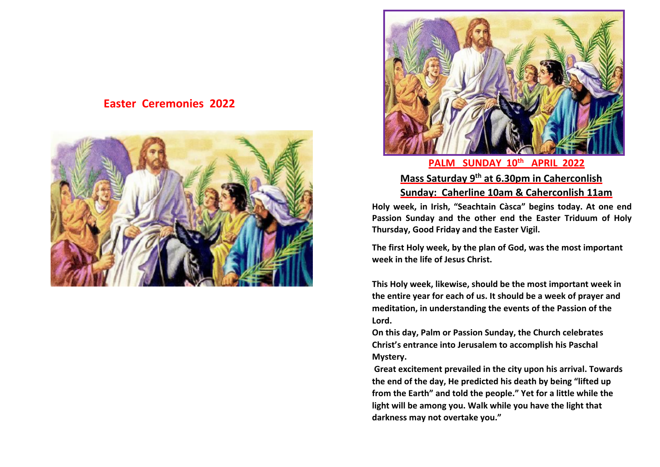# **Easter Ceremonies 2022**





# **Mass Saturday 9th at 6.30pm in Caherconlish Sunday: Caherline 10am & Caherconlish 11am**

**Holy week, in Irish, "Seachtain Càsca" begins today. At one end Passion Sunday and the other end the Easter Triduum of Holy Thursday, Good Friday and the Easter Vigil.**

**The first Holy week, by the plan of God, was the most important week in the life of Jesus Christ.** 

**This Holy week, likewise, should be the most important week in the entire year for each of us. It should be a week of prayer and meditation, in understanding the events of the Passion of the Lord.**

**On this day, Palm or Passion Sunday, the Church celebrates Christ's entrance into Jerusalem to accomplish his Paschal Mystery.**

**Great excitement prevailed in the city upon his arrival. Towards the end of the day, He predicted his death by being "lifted up from the Earth" and told the people." Yet for a little while the light will be among you. Walk while you have the light that darkness may not overtake you."**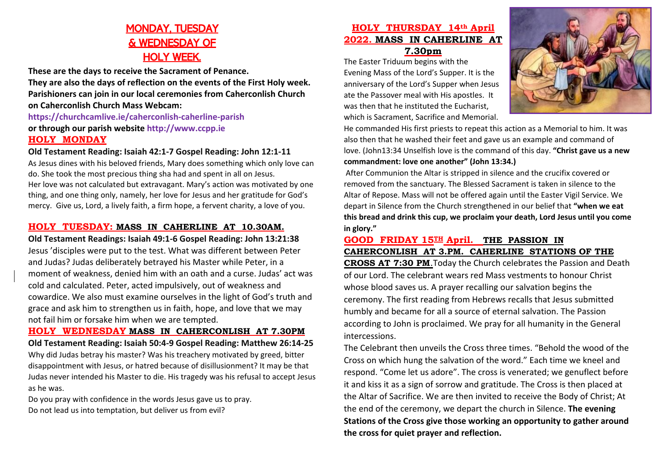# MONDAY, TUESDAY & WEDNESDAY OF HOLY WEEK.

**These are the days to receive the Sacrament of Penance. They are also the days of reflection on the events of the First Holy week. Parishioners can join in our local ceremonies from Caherconlish Church on Caherconlish Church Mass Webcam: https://churchcamlive.ie/caherconlish-caherline-parish**

# **or through our parish website http://www.ccpp.ie HOLY MONDAY**

## **Old Testament Reading: Isaiah 42:1-7 Gospel Reading: John 12:1-11**

As Jesus dines with his beloved friends, Mary does something which only love can do. She took the most precious thing sha had and spent in all on Jesus. Her love was not calculated but extravagant. Mary's action was motivated by one thing, and one thing only, namely, her love for Jesus and her gratitude for God's mercy. Give us, Lord, a lively faith, a firm hope, a fervent charity, a love of you.

## **HOLY TUESDAY: MASS IN CAHERLINE AT 10.30AM.**

**Old Testament Readings: Isaiah 49:1-6 Gospel Reading: John 13:21:38** Jesus 'disciples were put to the test. What was different between Peter and Judas? Judas deliberately betrayed his Master while Peter, in a moment of weakness, denied him with an oath and a curse. Judas' act was cold and calculated. Peter, acted impulsively, out of weakness and cowardice. We also must examine ourselves in the light of God's truth and grace and ask him to strengthen us in faith, hope, and love that we may not fail him or forsake him when we are tempted.

**HOLY WEDNESDAY MASS IN CAHERCONLISH AT 7.30PM Old Testament Reading: Isaiah 50:4-9 Gospel Reading: Matthew 26:14-25** Why did Judas betray his master? Was his treachery motivated by greed, bitter disappointment with Jesus, or hatred because of disillusionment? It may be that Judas never intended his Master to die. His tragedy was his refusal to accept Jesus as he was.

Do you pray with confidence in the words Jesus gave us to pray. Do not lead us into temptation, but deliver us from evil?

# **HOLY THURSDAY 14th April 2022. MASS IN CAHERLINE AT 7.30pm**

The Easter Triduum begins with the Evening Mass of the Lord's Supper. It is the anniversary of the Lord's Supper when Jesus ate the Passover meal with His apostles. It was then that he instituted the Eucharist, which is Sacrament, Sacrifice and Memorial.



He commanded His first priests to repeat this action as a Memorial to him. It was also then that he washed their feet and gave us an example and command of love. (John13:34 Unselfish love is the command of this day. **"Christ gave us a new commandment: love one another" (John 13:34.)**

After Communion the Altar is stripped in silence and the crucifix covered or removed from the sanctuary. The Blessed Sacrament is taken in silence to the Altar of Repose. Mass will not be offered again until the Easter Vigil Service. We depart in Silence from the Church strengthened in our belief that **"when we eat this bread and drink this cup, we proclaim your death, Lord Jesus until you come in glory."** 

#### **GOOD FRIDAY 15TH April. THE PASSION IN CAHERCONLISH AT 3.PM. CAHERLINE STATIONS OF THE**

**CROSS AT 7:30 PM**.Today the Church celebrates the Passion and Death of our Lord. The celebrant wears red Mass vestments to honour Christ whose blood saves us. A prayer recalling our salvation begins the ceremony. The first reading from Hebrews recalls that Jesus submitted humbly and became for all a source of eternal salvation. The Passion according to John is proclaimed. We pray for all humanity in the General intercessions.

The Celebrant then unveils the Cross three times. "Behold the wood of the Cross on which hung the salvation of the word." Each time we kneel and respond. "Come let us adore". The cross is venerated; we genuflect before it and kiss it as a sign of sorrow and gratitude. The Cross is then placed at the Altar of Sacrifice. We are then invited to receive the Body of Christ; At the end of the ceremony, we depart the church in Silence. **The evening Stations of the Cross give those working an opportunity to gather around the cross for quiet prayer and reflection.**